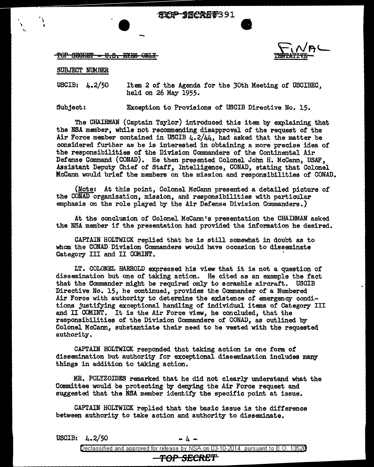TOP SECRET = U.S. EYES

## SUBJECT NUMBER

 $\bullet$ 

.,

USCIB: 4.2/50 Item 2 of the Agenda for the 3oth Meeting of USCIBEC, held on 26 May 1955.

Subject: Exception to Provisions of USCIB Directive No. 15.

The CHAIRMAN (Captain Taylor) introduced this item by explaining that the NSA member, while not recommending disapproval of the request of the Air Force member contained in USCIB  $4.2/44$ , had asked that the matter be considered further as he is interested in obtaining a more precise idea of the responsibilities of the Division Commanders of the Continental Air Defense Command (CONAD). He then presented Colonel John H. McCann, USAF, Assistant Deputy Chief of Staff, Intelligence, CONAD, stating that Colonel Mccann would brief the members on the mission and responsibilities of CONAD.

(Note: At this point, Colonel McCann presented a detailed picture of the CONAD organization, mission, and responsibilities with particular emphasis on the role played by the Air Defense Division Commanders.)

At the conclusion of Colonel McCann's presentation the CHAIRMAN asked the NSA member if the presentation had provided the information he desired.

CAPTAIN HOLTWICK replied that he is still somewhat in doubt as to whom the CONAD Division Commanders would have occasion to disseminate Category III and II COMINT.

LT. COLONEL HARROLD expressed. his view that it is not a question of dissemination but one of taking action. He cited as an example the fact that the Commander might be required only to scramble aircraft. USCIB Directive No. 15, he continued, provides the Commander of a Numbered Air Force with authority to determine the existence of emergency conditions justifying exceptional handling of individual items of Category III and II COMINT. It is the Air Force view, he concluded, that the responsibilities of the Division Commanders of CONAD, as outlined by Colonel Mccann, substantiate their need to be vested with the requested authority.

CAPTAIN HOLTWICK responded that taking action is one form of dissemination but authority for exceptional dissemination includes many things in addition to taking action.

MR. POLYZOIDES remarked that he did not clearly understand what the Committee would be protecting by denying the Air Force request and suggested that the NSA member identify the specific point at issue.

CAPTAIN HOLTWICK replied that the basic issue is the difference between authority to take action and authority to disseminate.

|                        | USCIB: $4.2/50$ | $-1 -$                                                                            |  |  |
|------------------------|-----------------|-----------------------------------------------------------------------------------|--|--|
|                        |                 | Declassified and approved for release by NSA on 03-10-2014 pursuant to E.O. 13520 |  |  |
| <del>-TOP SECRET</del> |                 |                                                                                   |  |  |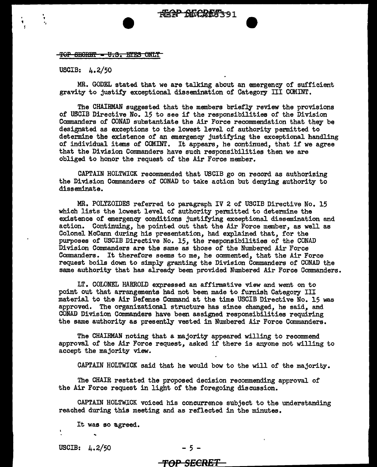TOP SEGRET • U.S. ETES ONLY

USCIB: 4.2/50

.<br>•<br>• • f

.<br>.<br>. '', .,

> MR. GODEL stated that we are talking about an emergency of sufficient gravity to justify exceptional dissemination of Category III COMINT.

The CHAIRMAN suggested that the members briefly review the provisions of USCIB Directive No. 15 to see if the responsibilities of the Division Commanders of CONAD substantiate the Air Force recommendation that they be designated as exceptions to the lowest level of authority permitted to determine the existence of an emergency justifying the exceptional handling of individual items of COMINT. It appears, he continued, that if we agree that the Division Commanders have such responsibilities then we are obliged to honor the request of the Air Force member.

CAPTAIN HOLTWICK recommended that USCIB go on record as authorizing the Division Commanders of CONAD to take action but denying authority to disseminate.

MR. POLYZOIDES referred to paragraph IV 2 of USCIB Directive No. 15 which lists the lowest level of authority permitted to determine the existence of emergency conditions justifying exceptional dissemination and action. Continuing, he pointed out that the Air Force member, as well as Colonel Mccann during his presentation, had explained that, for the purposes of USCIB Directive No. 15, the responsibilities of the GONAD Division Commanders are the same as those of the Numbered Air Force Commanders. It therefore seems to me, he commented, that the Air Force request boils down to simply granting the Division Commanders of GONAD the same authority that has already been provided Numbered Air Force Commanders.

LT. COLONEL HARROLD expressed an affirmative view and went on to point out that arrangements had not been made to furnish Category III material to the Air Defense Command at the time USCIB Directive No. 15 was approved. The organizational structure has since changed, he said, and GONAD Division Connnanders have been assigned responsibilities requiring the same authority as presently vested in Numbered Air Force Commanders.

The CHAIRMAN noting that a majority appeared willing to recommend approval of the Air Force request, asked if there is anyone not willing to accept the majority view.

CAPTAIN HOLTWICK said that he would bow to the will of the majority.

The CHAIR restated the proposed decision recommending approval of the Air Force request in light of the foregoing discussion.

CAPTAIN HOLTWICK voiced his concurrence subject to the understanding reached during this meeting and as reflected in the minutes.

It was so agreed.

USCIB:  $4.2/50$  - 5 -

..

## $\frac{100 \text{ C}}{100 \text{ C}}$